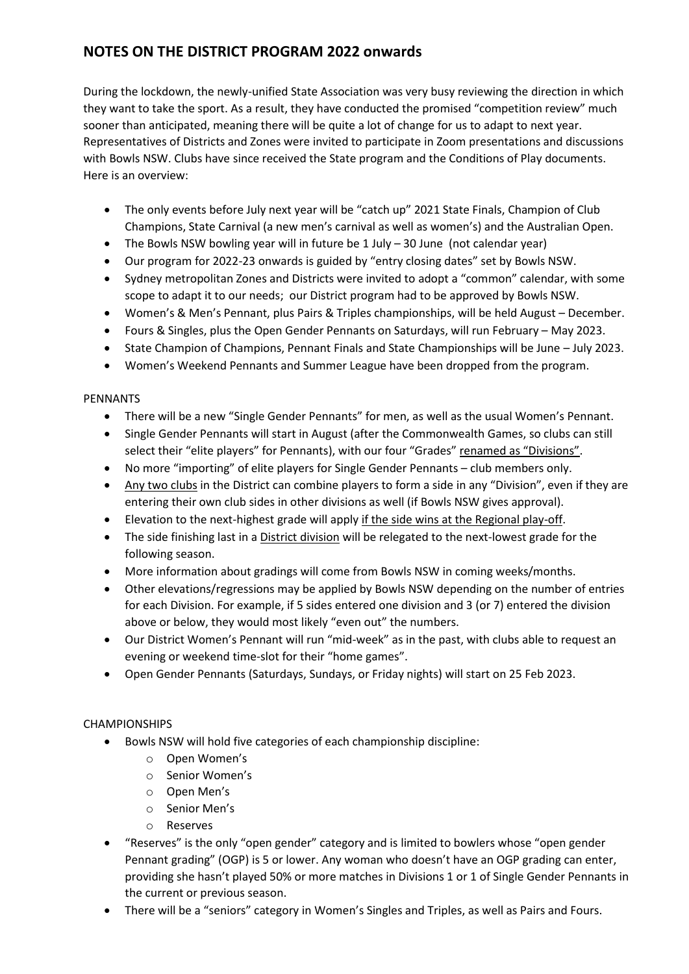## **NOTES ON THE DISTRICT PROGRAM 2022 onwards**

During the lockdown, the newly-unified State Association was very busy reviewing the direction in which they want to take the sport. As a result, they have conducted the promised "competition review" much sooner than anticipated, meaning there will be quite a lot of change for us to adapt to next year. Representatives of Districts and Zones were invited to participate in Zoom presentations and discussions with Bowls NSW. Clubs have since received the State program and the Conditions of Play documents. Here is an overview:

- The only events before July next year will be "catch up" 2021 State Finals, Champion of Club Champions, State Carnival (a new men's carnival as well as women's) and the Australian Open.
- The Bowls NSW bowling year will in future be 1 July 30 June (not calendar year)
- Our program for 2022-23 onwards is guided by "entry closing dates" set by Bowls NSW.
- Sydney metropolitan Zones and Districts were invited to adopt a "common" calendar, with some scope to adapt it to our needs; our District program had to be approved by Bowls NSW.
- Women's & Men's Pennant, plus Pairs & Triples championships, will be held August December.
- Fours & Singles, plus the Open Gender Pennants on Saturdays, will run February May 2023.
- State Champion of Champions, Pennant Finals and State Championships will be June July 2023.
- Women's Weekend Pennants and Summer League have been dropped from the program.

## PENNANTS

- There will be a new "Single Gender Pennants" for men, as well as the usual Women's Pennant.
- Single Gender Pennants will start in August (after the Commonwealth Games, so clubs can still select their "elite players" for Pennants), with our four "Grades" renamed as "Divisions".
- No more "importing" of elite players for Single Gender Pennants club members only.
- Any two clubs in the District can combine players to form a side in any "Division", even if they are entering their own club sides in other divisions as well (if Bowls NSW gives approval).
- Elevation to the next-highest grade will apply if the side wins at the Regional play-off.
- The side finishing last in a District division will be relegated to the next-lowest grade for the following season.
- More information about gradings will come from Bowls NSW in coming weeks/months.
- Other elevations/regressions may be applied by Bowls NSW depending on the number of entries for each Division. For example, if 5 sides entered one division and 3 (or 7) entered the division above or below, they would most likely "even out" the numbers.
- Our District Women's Pennant will run "mid-week" as in the past, with clubs able to request an evening or weekend time-slot for their "home games".
- Open Gender Pennants (Saturdays, Sundays, or Friday nights) will start on 25 Feb 2023.

## **CHAMPIONSHIPS**

- Bowls NSW will hold five categories of each championship discipline:
	- o Open Women's
	- o Senior Women's
	- o Open Men's
	- o Senior Men's
	- o Reserves
- "Reserves" is the only "open gender" category and is limited to bowlers whose "open gender Pennant grading" (OGP) is 5 or lower. Any woman who doesn't have an OGP grading can enter, providing she hasn't played 50% or more matches in Divisions 1 or 1 of Single Gender Pennants in the current or previous season.
- There will be a "seniors" category in Women's Singles and Triples, as well as Pairs and Fours.